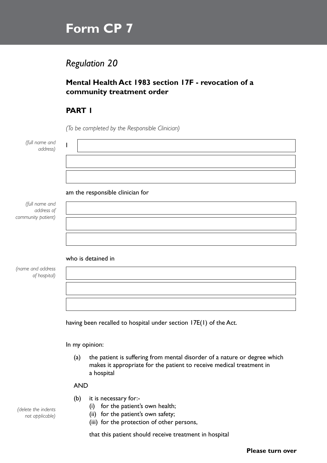# **Form CP 7**

# *Regulation 20*

### **Mental Health Act 1983 section 17F - revocation of a community treatment order**

## **PART 1**

*(To be completed by the Responsible Clinician)*

| (full name and |  |
|----------------|--|
| address)       |  |

#### am the responsible clinician for

*(full name and address of community patient)*

#### who is detained in

*(name and address of hospital)*

having been recalled to hospital under section 17E(1) of the Act.

In my opinion:

(a) the patient is suffering from mental disorder of a nature or degree which makes it appropriate for the patient to receive medical treatment in a hospital

AND

- (b) it is necessary for:-
	- (i) for the patient's own health;
	- (ii) for the patient's own safety;
	- (iii) for the protection of other persons,

that this patient should receive treatment in hospital

**Please turn over**

*(delete the indents not applicable)*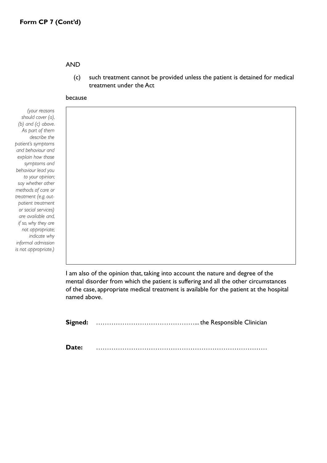#### AND

(c) such treatment cannot be provided unless the patient is detained for medical treatment under the Act

#### because

*(your reasons should cover (a), (b) and (c) above. As part of them describe the patient's symptoms and behaviour and explain how those symptoms and behaviour lead you to your opinion; say whether other methods of care or treatment (e.g. outpatient treatment or social services) are available and, if so, why they are not appropriate; indicate why informal admission is not appropriate.)*

> I am also of the opinion that, taking into account the nature and degree of the mental disorder from which the patient is suffering and all the other circumstances of the case, appropriate medical treatment is available for the patient at the hospital named above.

**Signed:** ………………………………………... the Responsible Clinician

**Date:** ……………………………………………………………………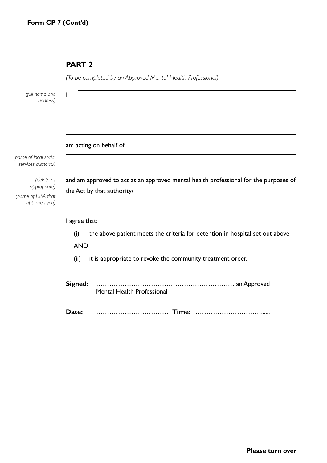# **PART 2**

|                                                                   | (To be completed by an Approved Mental Health Professional)                                                        |  |  |  |
|-------------------------------------------------------------------|--------------------------------------------------------------------------------------------------------------------|--|--|--|
| (full name and<br>address)                                        |                                                                                                                    |  |  |  |
| (name of local social                                             | am acting on behalf of                                                                                             |  |  |  |
| services authority)                                               |                                                                                                                    |  |  |  |
| (delete as<br>appropriate)<br>(name of LSSA that<br>approved you) | and am approved to act as an approved mental health professional for the purposes of<br>the Act by that authority/ |  |  |  |
|                                                                   |                                                                                                                    |  |  |  |
|                                                                   | I agree that:                                                                                                      |  |  |  |
|                                                                   | the above patient meets the criteria for detention in hospital set out above<br>(i)<br><b>AND</b>                  |  |  |  |
|                                                                   |                                                                                                                    |  |  |  |
|                                                                   | it is appropriate to revoke the community treatment order.<br>(ii)                                                 |  |  |  |
|                                                                   | Signed:<br>Mental Health Professional                                                                              |  |  |  |
|                                                                   | Date:                                                                                                              |  |  |  |